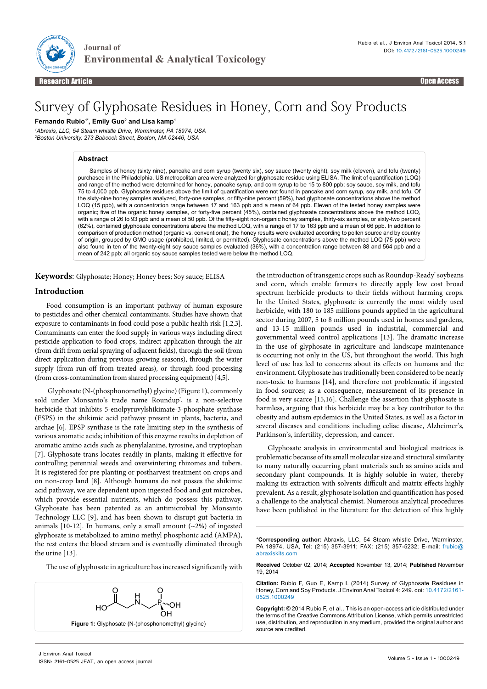

Research Article Open Access **Contract Contract Contract Contract Contract Contract Contract Contract Contract C**<br>Propen Access **Contract Contract Contract Contract Contract Contract Contract Contract Contract Contract Con** Research Article Open Access

# Survey of Glyphosate Residues in Honey, Corn and Soy Products

**Environmental & Analytical Toxicology** 

**Fernando Rubio1\*, Emily Guo2 and Lisa kamp1**

**Journal of**

*1 Abraxis, LLC, 54 Steam whistle Drive, Warminster, PA 18974, USA 2 Boston University, 273 Babcock Street, Boston, MA 02446, USA*

## **Abstract**

Samples of honey (sixty nine), pancake and corn syrup (twenty six), soy sauce (twenty eight), soy milk (eleven), and tofu (twenty) purchased in the Philadelphia, US metropolitan area were analyzed for glyphosate residue using ELISA. The limit of quantification (LOQ) and range of the method were determined for honey, pancake syrup, and corn syrup to be 15 to 800 ppb; soy sauce, soy milk, and tofu 75 to 4,000 ppb. Glyphosate residues above the limit of quantification were not found in pancake and corn syrup, soy milk, and tofu. Of the sixty-nine honey samples analyzed, forty-one samples, or fifty-nine percent (59%), had glyphosate concentrations above the method LOQ (15 ppb), with a concentration range between 17 and 163 ppb and a mean of 64 ppb. Eleven of the tested honey samples were organic; five of the organic honey samples, or forty-five percent (45%), contained glyphosate concentrations above the method LOQ, with a range of 26 to 93 ppb and a mean of 50 ppb. Of the fifty-eight non-organic honey samples, thirty-six samples, or sixty-two percent (62%), contained glyphosate concentrations above the method LOQ, with a range of 17 to 163 ppb and a mean of 66 ppb. In addition to comparison of production method (organic vs. conventional), the honey results were evaluated according to pollen source and by country of origin, grouped by GMO usage (prohibited, limited, or permitted). Glyphosate concentrations above the method LOQ (75 ppb) were also found in ten of the twenty-eight soy sauce samples evaluated (36%), with a concentration range between 88 and 564 ppb and a mean of 242 ppb; all organic soy sauce samples tested were below the method LOQ.

**Keywords**: Glyphosate; Honey; Honey bees; Soy sauce; ELISA

## **Introduction**

Food consumption is an important pathway of human exposure to pesticides and other chemical contaminants. Studies have shown that exposure to contaminants in food could pose a public health risk [1,2,3]. Contaminants can enter the food supply in various ways including direct pesticide application to food crops, indirect application through the air (from drift from aerial spraying of adjacent fields), through the soil (from direct application during previous growing seasons), through the water supply (from run-off from treated areas), or through food processing (from cross-contamination from shared processing equipment) [4,5].

 Glyphosate (N-(phosphonomethyl) glycine) (Figure 1), commonly sold under Monsanto's trade name Roundup<sup>\*</sup>, is a non-selective herbicide that inhibits 5-enolpyruvylshikimate-3-phosphate synthase (ESPS) in the shikimic acid pathway present in plants, bacteria, and archae [6]. EPSP synthase is the rate limiting step in the synthesis of various aromatic acids; inhibition of this enzyme results in depletion of aromatic amino acids such as phenylalanine, tyrosine, and tryptophan [7]. Glyphosate trans locates readily in plants, making it effective for controlling perennial weeds and overwintering rhizomes and tubers. It is registered for pre planting or postharvest treatment on crops and on non-crop land [8]. Although humans do not posses the shikimic acid pathway, we are dependent upon ingested food and gut microbes, which provide essential nutrients, which do possess this pathway. Glyphosate has been patented as an antimicrobial by Monsanto Technology LLC [9], and has been shown to disrupt gut bacteria in animals [10-12]. In humans, only a small amount  $(-2\%)$  of ingested glyphosate is metabolized to amino methyl phosphonic acid (AMPA), the rest enters the blood stream and is eventually eliminated through the urine [13].

The use of glyphosate in agriculture has increased significantly with



the introduction of transgenic crops such as Roundup-Ready' soybeans and corn, which enable farmers to directly apply low cost broad spectrum herbicide products to their fields without harming crops. In the United States, glyphosate is currently the most widely used herbicide, with 180 to 185 millions pounds applied in the agricultural sector during 2007, 5 to 8 million pounds used in homes and gardens, and 13-15 million pounds used in industrial, commercial and governmental weed control applications [13]. The dramatic increase in the use of glyphosate in agriculture and landscape maintenance is occurring not only in the US, but throughout the world. This high level of use has led to concerns about its effects on humans and the environment. Glyphosate has traditionally been considered to be nearly non-toxic to humans [14], and therefore not problematic if ingested in food sources; as a consequence, measurement of its presence in food is very scarce [15,16]. Challenge the assertion that glyphosate is harmless, arguing that this herbicide may be a key contributor to the obesity and autism epidemics in the United States, as well as a factor in several diseases and conditions including celiac disease, Alzheimer's, Parkinson's, infertility, depression, and cancer.

Glyphosate analysis in environmental and biological matrices is problematic because of its small molecular size and structural similarity to many naturally occurring plant materials such as amino acids and secondary plant compounds. It is highly soluble in water, thereby making its extraction with solvents difficult and matrix effects highly prevalent. As a result, glyphosate isolation and quantification has posed a challenge to the analytical chemist. Numerous analytical procedures have been published in the literature for the detection of this highly

**\*Corresponding author:** Abraxis, LLC, 54 Steam whistle Drive, Warminster, PA 18974, USA, Tel: (215) 357-3911; FAX: (215) 357-5232; E-mail: frubio@ abraxiskits.com

**Received** October 02, 2014; **Accepted** November 13, 2014; **Published** November 19, 2014

**Citation:** Rubio F, Guo E, Kamp L (2014) Survey of Glyphosate Residues in Honey, Corn and Soy Products. J Environ Anal Toxicol 4: 249. doi: 10.4172/2161- 0525.1000249

**Copyright:** © 2014 Rubio F, et al.. This is an open-access article distributed under the terms of the Creative Commons Attribution License, which permits unrestricted use, distribution, and reproduction in any medium, provided the original author and source are credited.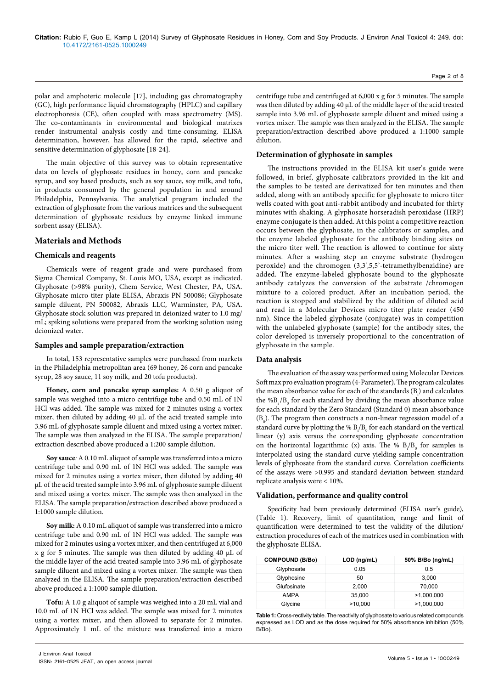polar and amphoteric molecule [17], including gas chromatography (GC), high performance liquid chromatography (HPLC) and capillary electrophoresis (CE), often coupled with mass spectrometry (MS). The co-contaminants in environmental and biological matrixes render instrumental analysis costly and time-consuming. ELISA determination, however, has allowed for the rapid, selective and sensitive determination of glyphosate [18-24].

The main objective of this survey was to obtain representative data on levels of glyphosate residues in honey, corn and pancake syrup, and soy based products, such as soy sauce, soy milk, and tofu, in products consumed by the general population in and around Philadelphia, Pennsylvania. The analytical program included the extraction of glyphosate from the various matrices and the subsequent determination of glyphosate residues by enzyme linked immune sorbent assay (ELISA).

## **Materials and Methods**

#### **Chemicals and reagents**

Chemicals were of reagent grade and were purchased from Sigma Chemical Company, St. Louis MO, USA, except as indicated. Glyphosate (>98% purity), Chem Service, West Chester, PA, USA. Glyphosate micro titer plate ELISA, Abraxis PN 500086; Glyphosate sample diluent, PN 500082, Abraxis LLC, Warminster, PA, USA. Glyphosate stock solution was prepared in deionized water to 1.0 mg/ mL; spiking solutions were prepared from the working solution using deionized water.

### **Samples and sample preparation/extraction**

In total, 153 representative samples were purchased from markets in the Philadelphia metropolitan area (69 honey, 26 corn and pancake syrup, 28 soy sauce, 11 soy milk, and 20 tofu products).

**Honey, corn and pancake syrup samples:** A 0.50 g aliquot of sample was weighed into a micro centrifuge tube and 0.50 mL of 1N HCl was added. The sample was mixed for 2 minutes using a vortex mixer, then diluted by adding 40 µL of the acid treated sample into 3.96 mL of glyphosate sample diluent and mixed using a vortex mixer. The sample was then analyzed in the ELISA. The sample preparation/ extraction described above produced a 1:200 sample dilution.

**Soy sauce***:* A 0.10 mL aliquot of sample was transferred into a micro centrifuge tube and 0.90 mL of 1N HCl was added. The sample was mixed for 2 minutes using a vortex mixer, then diluted by adding 40 µL of the acid treated sample into 3.96 mL of glyphosate sample diluent and mixed using a vortex mixer. The sample was then analyzed in the ELISA. The sample preparation/extraction described above produced a 1:1000 sample dilution.

**Soy milk:** A 0.10 mL aliquot of sample was transferred into a micro centrifuge tube and 0.90 mL of 1N HCl was added. The sample was mixed for 2 minutes using a vortex mixer, and then centrifuged at 6,000 x g for 5 minutes. The sample was then diluted by adding 40 µL of the middle layer of the acid treated sample into 3.96 mL of glyphosate sample diluent and mixed using a vortex mixer. The sample was then analyzed in the ELISA. The sample preparation/extraction described above produced a 1:1000 sample dilution.

**Tofu:** A 1.0 g aliquot of sample was weighed into a 20 mL vial and 10.0 mL of 1N HCl was added. The sample was mixed for 2 minutes using a vortex mixer, and then allowed to separate for 2 minutes. Approximately 1 mL of the mixture was transferred into a micro

centrifuge tube and centrifuged at 6,000 x g for 5 minutes. The sample was then diluted by adding 40 µL of the middle layer of the acid treated sample into 3.96 mL of glyphosate sample diluent and mixed using a vortex mixer. The sample was then analyzed in the ELISA. The sample preparation/extraction described above produced a 1:1000 sample dilution.

#### **Determination of glyphosate in samples**

The instructions provided in the ELISA kit user's guide were followed, in brief, glyphosate calibrators provided in the kit and the samples to be tested are derivatized for ten minutes and then added, along with an antibody specific for glyphosate to micro titer wells coated with goat anti-rabbit antibody and incubated for thirty minutes with shaking. A glyphosate horseradish peroxidase (HRP) enzyme conjugate is then added. At this point a competitive reaction occurs between the glyphosate, in the calibrators or samples, and the enzyme labeled glyphosate for the antibody binding sites on the micro titer well. The reaction is allowed to continue for sixty minutes. After a washing step an enzyme substrate (hydrogen peroxide) and the chromogen (3,3',5,5'-tetramethylbenzidine) are added. The enzyme-labeled glyphosate bound to the glyphosate antibody catalyzes the conversion of the substrate /chromogen mixture to a colored product. After an incubation period, the reaction is stopped and stabilized by the addition of diluted acid and read in a Molecular Devices micro titer plate reader (450 nm). Since the labeled glyphosate (conjugate) was in competition with the unlabeled glyphosate (sample) for the antibody sites, the color developed is inversely proportional to the concentration of glyphosate in the sample.

#### **Data analysis**

The evaluation of the assay was performed using Molecular Devices Soft max pro evaluation program (4-Parameter). The program calculates the mean absorbance value for each of the standards  $(B<sub>i</sub>)$  and calculates the  $%B_i/B_0$  for each standard by dividing the mean absorbance value for each standard by the Zero Standard (Standard 0) mean absorbance  $(B_0)$ . The program then constructs a non-linear regression model of a standard curve by plotting the %  $\rm B_i/B_o$  for each standard on the vertical linear (y) axis versus the corresponding glyphosate concentration on the horizontal logarithmic (x) axis. The %  $B_1/B_0$  for samples is interpolated using the standard curve yielding sample concentration levels of glyphosate from the standard curve. Correlation coefficients of the assays were >0.995 and standard deviation between standard replicate analysis were < 10%.

#### **Validation, performance and quality control**

Specificity had been previously determined (ELISA user's guide), (Table 1). Recovery, limit of quantitation, range and limit of quantification were determined to test the validity of the dilution/ extraction procedures of each of the matrices used in combination with the glyphosate ELISA.

| <b>COMPOUND (B/Bo)</b> | $LOD$ (ng/mL) | 50% B/Bo (ng/mL) |
|------------------------|---------------|------------------|
| Glyphosate             | 0.05          | 0.5              |
| Glyphosine             | 50            | 3,000            |
| Glufosinate            | 2.000         | 70,000           |
| <b>AMPA</b>            | 35,000        | >1,000,000       |
| Glycine                | >10,000       | >1,000,000       |

**Table 1:** Cross-rectivity table. The reactivity of glyphosate to various related compounds expressed as LOD and as the dose required for 50% absorbance inhibition (50% B/Bo).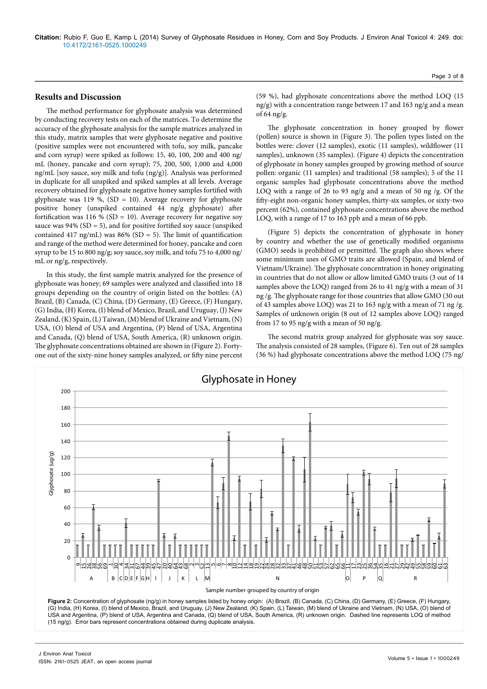## **Results and Discussion**

The method performance for glyphosate analysis was determined by conducting recovery tests on each of the matrices. To determine the accuracy of the glyphosate analysis for the sample matrices analyzed in this study, matrix samples that were glyphosate negative and positive (positive samples were not encountered with tofu, soy milk, pancake and corn syrup) were spiked as follows: 15, 40, 100, 200 and 400 ng/ mL (honey, pancake and corn syrup); 75, 200, 500, 1,000 and 4,000 ng/mL [soy sauce, soy milk and tofu (ng/g)]. Analysis was performed in duplicate for all unspiked and spiked samples at all levels. Average recovery obtained for glyphosate negative honey samples fortified with glyphosate was 119 %, (SD = 10). Average recovery for glyphosate positive honey (unspiked contained 44 ng/g glyphosate) after fortification was 116 % (SD = 10). Average recovery for negative soy sauce was  $94\%$  (SD = 5), and for positive fortified soy sauce (unspiked contained 417 ng/mL) was  $86\%$  (SD = 5). The limit of quantification and range of the method were determined for honey, pancake and corn syrup to be 15 to 800 ng/g; soy sauce, soy milk, and tofu 75 to 4,000 ng/ mL or ng/g, respectively.

In this study, the first sample matrix analyzed for the presence of glyphosate was honey; 69 samples were analyzed and classified into 18 groups depending on the country of origin listed on the bottles: (A) Brazil, (B) Canada, (C) China, (D) Germany, (E) Greece, (F) Hungary, (G) India, (H) Korea, (I) blend of Mexico, Brazil, and Uruguay, (J) New Zealand, (K) Spain, (L) Taiwan, (M) blend of Ukraine and Vietnam, (N) USA, (O) blend of USA and Argentina, (P) blend of USA, Argentina and Canada, (Q) blend of USA, South America, (R) unknown origin. The glyphosate concentrations obtained are shown in (Figure 2). Fortyone out of the sixty-nine honey samples analyzed, or fifty nine percent

(59 %), had glyphosate concentrations above the method LOQ (15 ng/g) with a concentration range between 17 and 163 ng/g and a mean of 64 ng/g.

The glyphosate concentration in honey grouped by flower (pollen) source is shown in (Figure 3). The pollen types listed on the bottles were: clover (12 samples), exotic (11 samples), wildflower (11 samples), unknown (35 samples). (Figure 4) depicts the concentration of glyphosate in honey samples grouped by growing method of source pollen: organic (11 samples) and traditional (58 samples); 5 of the 11 organic samples had glyphosate concentrations above the method LOQ with a range of 26 to 93 ng/g and a mean of 50 ng /g. Of the fifty-eight non-organic honey samples, thirty-six samples, or sixty-two percent (62%), contained glyphosate concentrations above the method LOQ, with a range of 17 to 163 ppb and a mean of 66 ppb.

(Figure 5) depicts the concentration of glyphosate in honey by country and whether the use of genetically modified organisms (GMO) seeds is prohibited or permitted. The graph also shows where some minimum uses of GMO traits are allowed (Spain, and blend of Vietnam/Ukraine). The glyphosate concentration in honey originating in countries that do not allow or allow limited GMO traits (3 out of 14 samples above the LOQ) ranged from 26 to 41 ng/g with a mean of 31 ng /g. The glyphosate range for those countries that allow GMO (30 out of 43 samples above LOQ) was 21 to 163 ng/g with a mean of 71 ng /g. Samples of unknown origin (8 out of 12 samples above LOQ) ranged from 17 to 95 ng/g with a mean of 50 ng/g.

The second matrix group analyzed for glyphosate was soy sauce. The analysis consisted of 28 samples, (Figure 6). Ten out of 28 samples (36 %) had glyphosate concentrations above the method LOQ (75 ng/

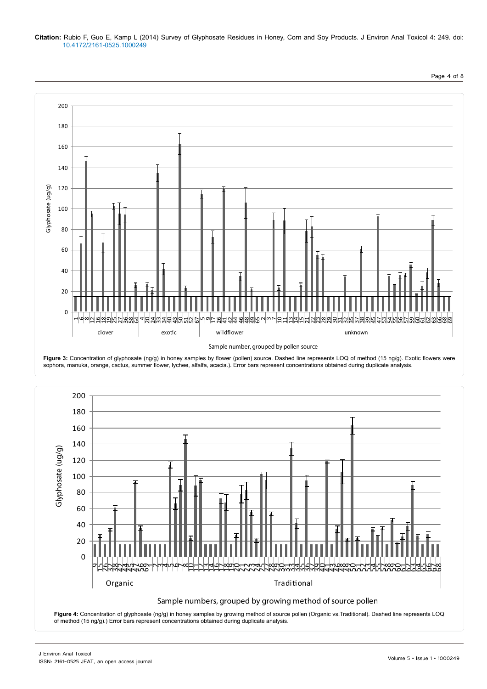#### **Citation:** Rubio F, Guo E, Kamp L (2014) Survey of Glyphosate Residues in Honey, Corn and Soy Products. J Environ Anal Toxicol 4: 249. doi: 10.4172/2161-0525.1000249







Page 4 of 8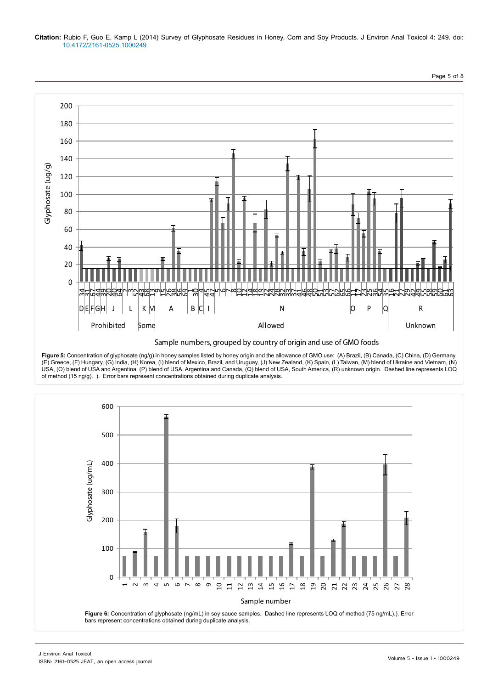### **Citation:** Rubio F, Guo E, Kamp L (2014) Survey of Glyphosate Residues in Honey, Corn and Soy Products. J Environ Anal Toxicol 4: 249. doi: 10.4172/2161-0525.1000249



**Figure 5:** Concentration of glyphosate (ng/g) in honey samples listed by honey origin and the allowance of GMO use: (A) Brazil, (B) Canada, (C) China, (D) Germany, (E) Greece, (F) Hungary, (G) India, (H) Korea, (I) blend of Mexico, Brazil, and Uruguay, (J) New Zealand, (K) Spain, (L) Taiwan, (M) blend of Ukraine and Vietnam, (N) USA, (O) blend of USA and Argentina, (P) blend of USA, Argentina and Canada, (Q) blend of USA, South America, (R) unknown origin. Dashed line represents LOQ of method (15 ng/g). ). Error bars represent concentrations obtained during duplicate analysis.



Page 5 of 8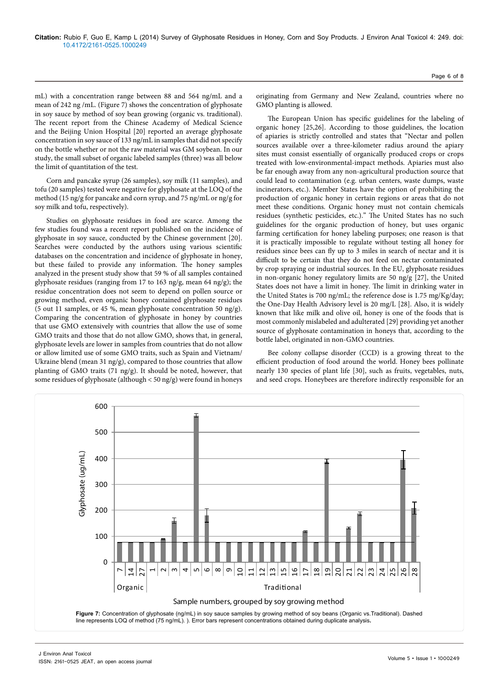mL) with a concentration range between 88 and 564 ng/mL and a mean of 242 ng /mL. (Figure 7) shows the concentration of glyphosate in soy sauce by method of soy bean growing (organic vs. traditional). The recent report from the Chinese Academy of Medical Science and the Beijing Union Hospital [20] reported an average glyphosate concentration in soy sauce of 133 ng/mL in samples that did not specify on the bottle whether or not the raw material was GM soybean. In our study, the small subset of organic labeled samples (three) was all below the limit of quantitation of the test.

Corn and pancake syrup (26 samples), soy milk (11 samples), and tofu (20 samples) tested were negative for glyphosate at the LOQ of the method (15 ng/g for pancake and corn syrup, and 75 ng/mL or ng/g for soy milk and tofu, respectively).

Studies on glyphosate residues in food are scarce. Among the few studies found was a recent report published on the incidence of glyphosate in soy sauce, conducted by the Chinese government [20]. Searches were conducted by the authors using various scientific databases on the concentration and incidence of glyphosate in honey, but these failed to provide any information. The honey samples analyzed in the present study show that 59 % of all samples contained glyphosate residues (ranging from 17 to 163 ng/g, mean 64 ng/g); the residue concentration does not seem to depend on pollen source or growing method, even organic honey contained glyphosate residues (5 out 11 samples, or 45 %, mean glyphosate concentration 50 ng/g). Comparing the concentration of glyphosate in honey by countries that use GMO extensively with countries that allow the use of some GMO traits and those that do not allow GMO, shows that, in general, glyphosate levels are lower in samples from countries that do not allow or allow limited use of some GMO traits, such as Spain and Vietnam/ Ukraine blend (mean 31 ng/g), compared to those countries that allow planting of GMO traits (71 ng/g). It should be noted, however, that some residues of glyphosate (although  $<$  50 ng/g) were found in honeys

originating from Germany and New Zealand, countries where no GMO planting is allowed.

The European Union has specific guidelines for the labeling of organic honey [25,26]. According to those guidelines, the location of apiaries is strictly controlled and states that "Nectar and pollen sources available over a three-kilometer radius around the apiary sites must consist essentially of organically produced crops or crops treated with low-environmental-impact methods. Apiaries must also be far enough away from any non-agricultural production source that could lead to contamination (e.g. urban centers, waste dumps, waste incinerators, etc.). Member States have the option of prohibiting the production of organic honey in certain regions or areas that do not meet these conditions. Organic honey must not contain chemicals residues (synthetic pesticides, etc.)." The United States has no such guidelines for the organic production of honey, but uses organic farming certification for honey labeling purposes; one reason is that it is practically impossible to regulate without testing all honey for residues since bees can fly up to 3 miles in search of nectar and it is difficult to be certain that they do not feed on nectar contaminated by crop spraying or industrial sources. In the EU, glyphosate residues in non-organic honey regulatory limits are 50 ng/g [27], the United States does not have a limit in honey. The limit in drinking water in the United States is 700 ng/mL; the reference dose is 1.75 mg/Kg/day; the One-Day Health Advisory level is 20 mg/L [28]. Also, it is widely known that like milk and olive oil, honey is one of the foods that is most commonly mislabeled and adulterated [29] providing yet another source of glyphosate contamination in honeys that, according to the bottle label, originated in non-GMO countries.

Bee colony collapse disorder (CCD) is a growing threat to the efficient production of food around the world. Honey bees pollinate nearly 130 species of plant life [30], such as fruits, vegetables, nuts, and seed crops. Honeybees are therefore indirectly responsible for an

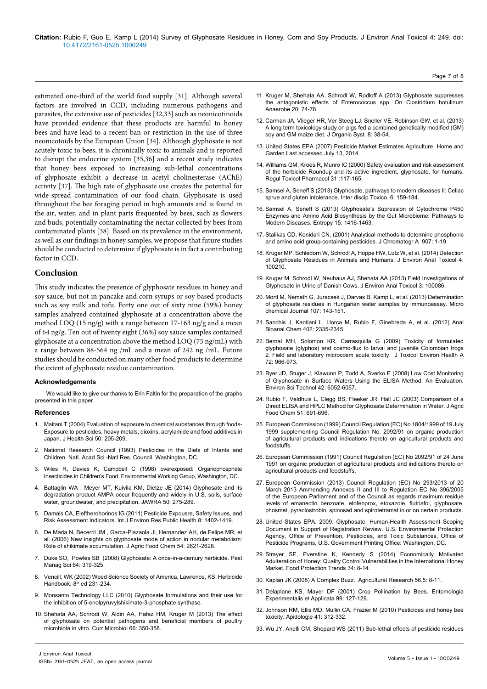estimated one-third of the world food supply [31]. Although several factors are involved in CCD, including numerous pathogens and parasites, the extensive use of pesticides [32,33] such as neonicotinoids have provided evidence that these products are harmful to honey bees and have lead to a recent ban or restriction in the use of three neonicotoids by the European Union [34]. Although glyphosate is not acutely toxic to bees, it is chronically toxic to animals and is reported to disrupt the endocrine system [35,36] and a recent study indicates that honey bees exposed to increasing sub-lethal concentrations of glyphosate exhibit a decrease in acetyl cholinesterase (AChE) activity [37]. The high rate of glyphosate use creates the potential for wide-spread contamination of our food chain. Glyphosate is used throughout the bee foraging period in high amounts and is found in the air, water, and in plant parts frequented by bees, such as flowers and buds, potentially contaminating the nectar collected by bees from contaminated plants [38]. Based on its prevalence in the environment, as well as our findings in honey samples, we propose that future studies should be conducted to determine if glyphosate is in fact a contributing factor in CCD.

## **Conclusion**

This study indicates the presence of glyphosate residues in honey and soy sauce, but not in pancake and corn syrups or soy based products such as soy milk and tofu. Forty one out of sixty nine (59%) honey samples analyzed contained glyphosate at a concentration above the method LOQ (15 ng/g) with a range between 17-163 ng/g and a mean of 64 ng/g. Ten out of twenty eight (36%) soy sauce samples contained glyphosate at a concentration above the method LOQ (75 ng/mL) with a range between 88-564 ng /mL and a mean of 242 ng /mL. Future studies should be conducted on many other food products to determine the extent of glyphosate residue contamination.

#### **Acknowledgements**

We would like to give our thanks to Erin Faltin for the preparation of the graphs presented in this paper.

#### **References**

- 1. [Maitani T \(2004\) Evaluation of exposure to chemical substances through foods-](http://jhs.pharm.or.jp/data/50%283%29/50_205.pdf)[Exposure to pesticides, heavy metals, dioxins, acrylamide and food additives in](http://jhs.pharm.or.jp/data/50%283%29/50_205.pdf) [Japan. J Health Sci](http://jhs.pharm.or.jp/data/50%283%29/50_205.pdf) 50: 205-209.
- 2. [National Research Council \(1993\) Pesticides in the Diets of Infants and](http://www.nap.edu/openbook.php?isbn=0309048753) [Children. Natl. Acad Sci -Natl Res. Council, Washington, DC.](http://www.nap.edu/openbook.php?isbn=0309048753)
- 3. Wiles R, Davies K, Campbell C (1998) overexposed: Organophosphate Insecticides in Children's Food. Environmental Working Group, Washington, DC.
- 4. Battaglin WA , Meyer MT, Kuivila KM, Dietze JF (2014) Glyphosate and its [degradation product AMPA occur frequently and widely in U.S. soils, surface](http://onlinelibrary.wiley.com/doi/10.1111/jawr.12159/abstract) [water, groundwater, and precipitation. JAWRA](http://onlinelibrary.wiley.com/doi/10.1111/jawr.12159/abstract) 50: 275-289.
- 5. [Damals CA, Eleftherohorinos IG \(2011\) Pesticide Expousre, Safety Issues, and](http://www.mdpi.com/1660-4601/8/5/1402) [Risk Assessment Indicators. Int J Environ Res Public Health](http://www.mdpi.com/1660-4601/8/5/1402) 8: 1402-1419.
- 6. [De Maria N, Becerril JM , Garca-Plazaola JI, Hernandez AH, de Felipe MR, et](http://www.ncbi.nlm.nih.gov/pubmed/16569053) [al. \(2006\) New insights on glyphosate mode of action in nodular metabolism:](http://www.ncbi.nlm.nih.gov/pubmed/16569053) [Role of shikimate accumulation. J Agric Food Chem](http://www.ncbi.nlm.nih.gov/pubmed/16569053) 54: 2621-2628.
- 7. [Duke SO, Powles SB \(2008\) Glyphosate: A once-in-a-century herbicide. Pest](http://passel.unl.edu/Image/Robles VazquezWilfredo1129928587/Glyphosate_Duke_2008.pdf) [Manag Sci 64: 319-325.](http://passel.unl.edu/Image/Robles VazquezWilfredo1129928587/Glyphosate_Duke_2008.pdf)
- 8. Vencill, WK (2002) Weed Science Society of America, Lawrence, KS. Herbicide Handbook, 8<sup>th</sup> ed 231-234.
- 9. Monsanto Technology LLC (2010) Glyphosate formulations and their use for the inhibition of 5-enolpyruvylshikimate-3-phosphate synthase.
- 10. [Shehata AA, Schrodi W, Aldin AA, Hafez HM, Kruger M \(2013\) The effect](http://www.ncbi.nlm.nih.gov/pubmed/23224412) [of glyphosate on potential pathogens and beneficial members of poultry](http://www.ncbi.nlm.nih.gov/pubmed/23224412) [microbiota in vitro. Curr Microbiol](http://www.ncbi.nlm.nih.gov/pubmed/23224412) 66: 350-358.
- 11. [Kruger M, Shehata AA, Schrodl W, Rodloff A \(2013\) Glyphosate suppresses](http://www.ncbi.nlm.nih.gov/pubmed/23396248)  [the antagonistic effects of Enterococcus spp. On Clostridium botulinum](http://www.ncbi.nlm.nih.gov/pubmed/23396248)  [Anaerobe 20: 74-78.](http://www.ncbi.nlm.nih.gov/pubmed/23396248)
- 12. [Carman JA, Vlieger HR, Ver Steeg LJ, Sneller VE, Robinson GW, et al. \(2013\)](http://www.organic-systems.org/journal/81/81.pdf#page=38)  [A long term toxicology study on pigs fed a combined genetically modified \(GM\)](http://www.organic-systems.org/journal/81/81.pdf#page=38)  [soy and GM maize diet. J Organic Syst](http://www.organic-systems.org/journal/81/81.pdf#page=38)*.* 8: 38-54.
- 13. United States EPA (2007) Pesticide Market Estimates Agriculture Home and Garden Last accessed July 13, 2014.
- 14. [Williams GM, Kroes R, Munro IC \(2000\) Safety evaluation and risk assessment](http://www.ncbi.nlm.nih.gov/pubmed/10854122)  [of the herbicide Roundup and its active ingredient, glyphosate, for humans.](http://www.ncbi.nlm.nih.gov/pubmed/10854122)  [Regul Toxicol Pharmacol](http://www.ncbi.nlm.nih.gov/pubmed/10854122) 31 :117-165.
- 15. [Samsel A, Seneff S \(2013\) Glyphosate, pathways to modern diseases II: Celiac](http://www.ncbi.nlm.nih.gov/pubmed/24678255)  [sprue and gluten intolerance. Inter discip Toxico.](http://www.ncbi.nlm.nih.gov/pubmed/24678255) 6: 159-184.
- 16. [Samsel A, Seneff S \(2013\) Glyphosate's Supression of Cytochrome P450](http://www.mdpi.com/1099-4300/15/4/1416)  [Enzymes and Amino Acid Biosynthesis by the Gut Microbiome: Pathways to](http://www.mdpi.com/1099-4300/15/4/1416)  [Modern Diseases. Entropy](http://www.mdpi.com/1099-4300/15/4/1416) 15: 1416-1463.
- 17. [Stalikas CD, Konidari CN, \(2001\) Analytical methods to determine phosphonic](http://www.sciencedirect.com/science/article/pii/S0021967300010098)  [and amino acid group-containing pesticides. J Chromatogr A](http://www.sciencedirect.com/science/article/pii/S0021967300010098)907: 1-19.
- 18. Kruger MP, Schledorn W, Schrodl A, Hoppe HW, Lutz W, et al. (2014) Detection of Glyphosate Residues in Animals and Humans. J Environ Anal Toxicol 4: 100210.
- 19. Kruger M, Schrodl W, Neuhaus AJ, Shehata AA (2013) Field Investiga[ti](http://yadda.icm.edu.pl/yadda/element/bwmeta1.element.elsevier-2ff36cb6-4d7b-30c0-822e-bade44b6b743)ons of Glyphosate in Urine of Danish Cows. J Environ Anal Toxicol 3: 100086.
- 20. [Mortl M, Nemeth G, Juracsek J, Darvas B, Kamp L, et al. \(2013\) Determination](http://yadda.icm.edu.pl/yadda/element/bwmeta1.element.elsevier-2ff36cb6-4d7b-30c0-822e-bade44b6b743)  [of glyphosate residues in Hungarian water samples by immunoassay. Micro](http://yadda.icm.edu.pl/yadda/element/bwmeta1.element.elsevier-2ff36cb6-4d7b-30c0-822e-bade44b6b743)  [chemical Journal 107: 143-151.](http://yadda.icm.edu.pl/yadda/element/bwmeta1.element.elsevier-2ff36cb6-4d7b-30c0-822e-bade44b6b743)
- 21. Sanchis J, Kantiani L, Llorca M, Rubio F, Ginebreda A, et al. (2012) Anal Bioanal Chem 402: 2335-2345.
- 22. [Bernal MH, Solomon KR, Carrasquilla G \(2009\) Toxicity of formulated](file:///F:/Journals/NPCR/NPCR-Volume2/Volume2.7/NPCR-2.7_AI/v)  [glyphosate \(glyphos\) and cosmo-flux to larval and juvenile Colombian frogs](file:///F:/Journals/NPCR/NPCR-Volume2/Volume2.7/NPCR-2.7_AI/v)  [2. Field and laboratory microcosm acute toxicity. J Toxicol Environ Health A](file:///F:/Journals/NPCR/NPCR-Volume2/Volume2.7/NPCR-2.7_AI/v) [72: 966-973.](file:///F:/Journals/NPCR/NPCR-Volume2/Volume2.7/NPCR-2.7_AI/v)
- 23. [Byer JD, Stuger J, Klawunn P, Todd A, Sverko E \(2008\) Low Cost Monitoring](http://www.ncbi.nlm.nih.gov/pubmed/18767665)  [of Glyphosate in Surface Waters Using the ELISA Method: An Evaluation.](http://www.ncbi.nlm.nih.gov/pubmed/18767665)  [Environ Sci Technol 42: 6052-6057.](http://www.ncbi.nlm.nih.gov/pubmed/18767665)
- 24. [Rubio F, Veldhuis L, Clegg BS, Fleeker JR, Hall JC \(2003\) Comparison of a](http://www.ncbi.nlm.nih.gov/pubmed/12537443)  [Direct ELISA and HPLC Method for Glyphosate Determination in Water. J Agric](http://www.ncbi.nlm.nih.gov/pubmed/12537443)  Food Chem [51: 691-696.](http://www.ncbi.nlm.nih.gov/pubmed/12537443)
- 25. European Commission (1999) Council Regulation (EC) No 1804/1999 of 19 July 1999 supplementing Council Regulation No. 2092/91 on organic production of agricultural products and indications thereto on agricultural products and foodstuffs.
- 26. European Commission (1991) Council Regulation (EC) No 2092/91 of 24 June 1991 on organic production of agricultural products and indications thereto on agricultural products and foodstuffs.
- 27. European Commission (2013) Council Regulation (EC) No 293/2013 of 20 March 2013 Ammending Annexes II and III to Regulation EC No 396/2005 of the European Parliament and of the Council as regards maximum residue levels of emanectin benzoate, etofenprox, etoxazole, flutriafol, glyphosate, phosmet, pyraclostrobin, spinosad and spirotetramat in or on certain products.
- 28. United States EPA. 2009. Glyphosate. Human-Health Assessment Scoping Document in Support of Registration Review. U.S. Environmental Protection Agency, Office of Prevention, Pesticides, and Toxic Substances, Office of Pesticide Programs, U.S. Government Printing Office: Washington, DC.
- 29. Strayer [SE, Everstine K, Kennedy S \(2014\) Economically Motivated](http://www.foodprotection.org/publications/food-protection-trends/article-archive/2014-01economically-motivated-adulteration-of-honey-quality-control-vulnerabilities-in-the-internati/)  [Adulteration of Honey: Quality Control Vulnerabilities in the International Honey](http://www.foodprotection.org/publications/food-protection-trends/article-archive/2014-01economically-motivated-adulteration-of-honey-quality-control-vulnerabilities-in-the-internati/)  [Market. Food Protection Trends](http://www.foodprotection.org/publications/food-protection-trends/article-archive/2014-01economically-motivated-adulteration-of-honey-quality-control-vulnerabilities-in-the-internati/) 34: 8-14.
- 30. Kaplan JK (2008) A Complex Buzz. Agricultural Research 56.5: 8-11.
- 31. [Delaplane KS, Mayer DF \(2001\) Crop Pollination by Bees. Entomologia](http://books.google.co.in/books?hl=en&lr=&id=ZHGZkXa7xE4C&oi=fnd&pg=PR12&dq=Crop+Pollination+by+Bees&ots=-AhvwndtNw&sig=jcU4WBJRBLHzARu0t0vnwPsC7gs#v=onepage&q=Crop Pollination by Bees&f=false)  [Experimentalis et Applicata](http://books.google.co.in/books?hl=en&lr=&id=ZHGZkXa7xE4C&oi=fnd&pg=PR12&dq=Crop+Pollination+by+Bees&ots=-AhvwndtNw&sig=jcU4WBJRBLHzARu0t0vnwPsC7gs#v=onepage&q=Crop Pollination by Bees&f=false) 99: 127-129.
- 32. [Johnson RM, Ellis MD, Mullin CA, Frazier M \(2010\) Pesticides and honey bee](http://www.apidologie.org/articles/apido/abs/2010/03/m09141/m09141.html)  [toxicity. Apidologie](http://www.apidologie.org/articles/apido/abs/2010/03/m09141/m09141.html) 41: 312-332.
- 33. [Wu JY, Anelli CM, Shepard WS \(2011\) Sub-lethal effects of pesticide residues](http://www.plosone.org/article/info%3Adoi%2F10.1371%2Fjournal.pone.0014720)